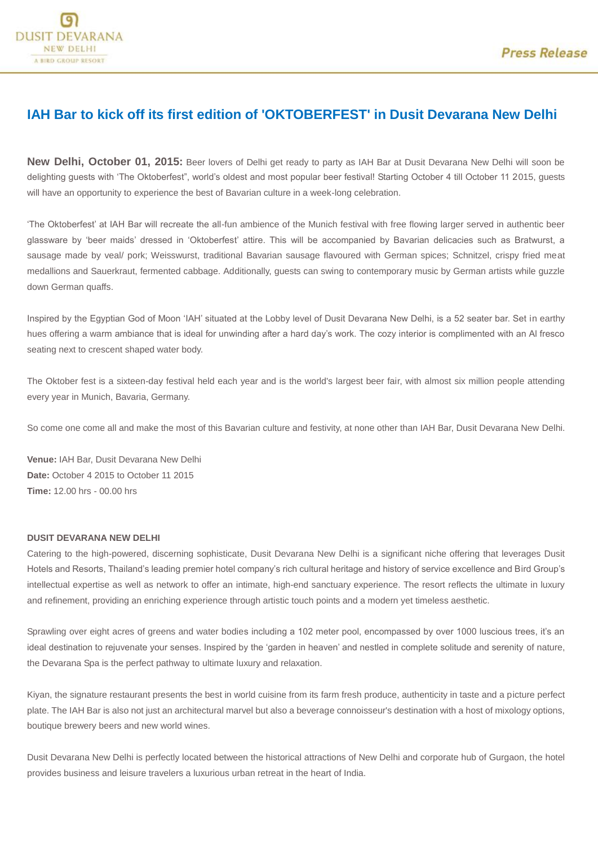## **IAH Bar to kick off its first edition of 'OKTOBERFEST' in Dusit Devarana New Delhi**

**New Delhi, October 01, 2015:** Beer lovers of Delhi get ready to party as IAH Bar at Dusit Devarana New Delhi will soon be delighting guests with 'The Oktoberfest", world's oldest and most popular beer festival! Starting October 4 till October 11 2015, guests will have an opportunity to experience the best of Bavarian culture in a week-long celebration.

'The Oktoberfest' at IAH Bar will recreate the all-fun ambience of the Munich festival with free flowing larger served in authentic beer glassware by 'beer maids' dressed in 'Oktoberfest' attire. This will be accompanied by Bavarian delicacies such as Bratwurst, a sausage made by veal/ pork; Weisswurst, traditional Bavarian sausage flavoured with German spices; Schnitzel, crispy fried meat medallions and Sauerkraut, fermented cabbage. Additionally, guests can swing to contemporary music by German artists while guzzle down German quaffs.

Inspired by the Egyptian God of Moon 'IAH' situated at the Lobby level of Dusit Devarana New Delhi, is a 52 seater bar. Set in earthy hues offering a warm ambiance that is ideal for unwinding after a hard day's work. The cozy interior is complimented with an Al fresco seating next to crescent shaped water body.

The Oktober fest is a sixteen-day festival held each year and is the world's largest beer fair, with almost six million people attending every year in Munich, Bavaria, Germany.

So come one come all and make the most of this Bavarian culture and festivity, at none other than IAH Bar, Dusit Devarana New Delhi.

**Venue:** IAH Bar, Dusit Devarana New Delhi **Date:** October 4 2015 to October 11 2015 **Time:** 12.00 hrs - 00.00 hrs

## **DUSIT DEVARANA NEW DELHI**

Catering to the high-powered, discerning sophisticate, Dusit Devarana New Delhi is a significant niche offering that leverages Dusit Hotels and Resorts, Thailand's leading premier hotel company's rich cultural heritage and history of service excellence and Bird Group's intellectual expertise as well as network to offer an intimate, high-end sanctuary experience. The resort reflects the ultimate in luxury and refinement, providing an enriching experience through artistic touch points and a modern yet timeless aesthetic.

Sprawling over eight acres of greens and water bodies including a 102 meter pool, encompassed by over 1000 luscious trees, it's an ideal destination to rejuvenate your senses. Inspired by the 'garden in heaven' and nestled in complete solitude and serenity of nature, the Devarana Spa is the perfect pathway to ultimate luxury and relaxation.

Kiyan, the signature restaurant presents the best in world cuisine from its farm fresh produce, authenticity in taste and a picture perfect plate. The IAH Bar is also not just an architectural marvel but also a beverage connoisseur's destination with a host of mixology options, boutique brewery beers and new world wines.

Dusit Devarana New Delhi is perfectly located between the historical attractions of New Delhi and corporate hub of Gurgaon, the hotel provides business and leisure travelers a luxurious urban retreat in the heart of India.